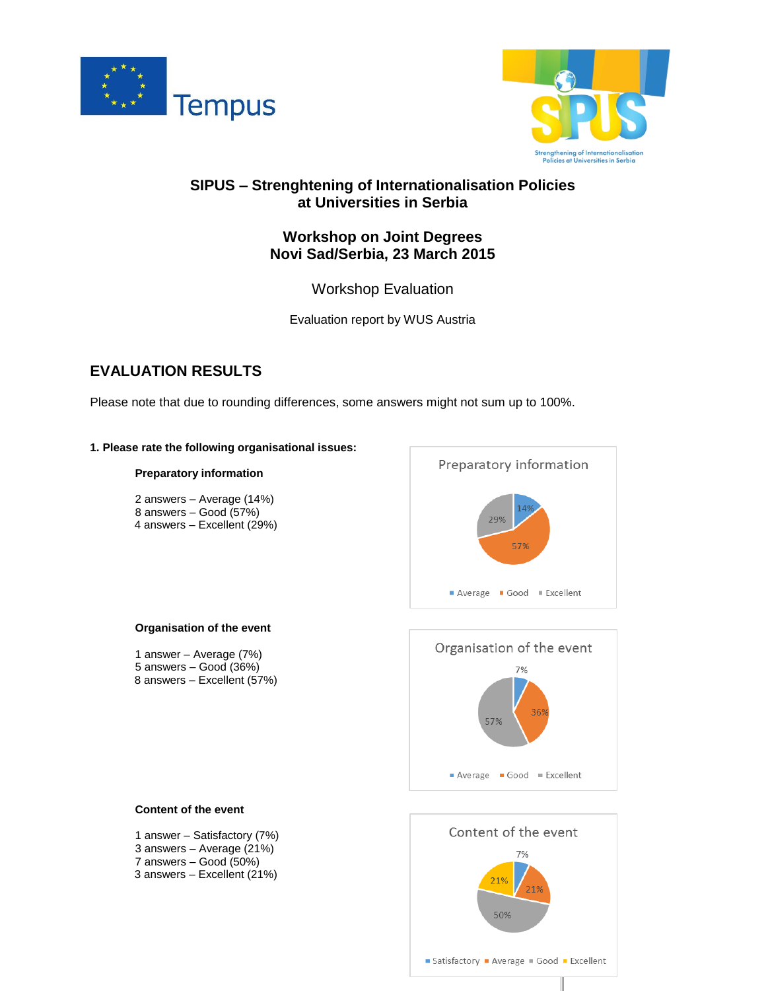



## **SIPUS – Strenghtening of Internationalisation Policies at Universities in Serbia**

### **Workshop on Joint Degrees Novi Sad/Serbia, 23 March 2015**

Workshop Evaluation

Evaluation report by WUS Austria

# **EVALUATION RESULTS**

Please note that due to rounding differences, some answers might not sum up to 100%.

### **1. Please rate the following organisational issues:**

### **Preparatory information**

2 answers – Average (14%) 8 answers – Good (57%) 4 answers – Excellent (29%)



### **Organisation of the event**

1 answer – Average (7%) 5 answers – Good (36%) 8 answers – Excellent (57%)



### **Content of the event** 1 answer – Satisfactory (7%) 3 answers – Average (21%) 7 answers – Good (50%) 3 answers – Excellent (21%)

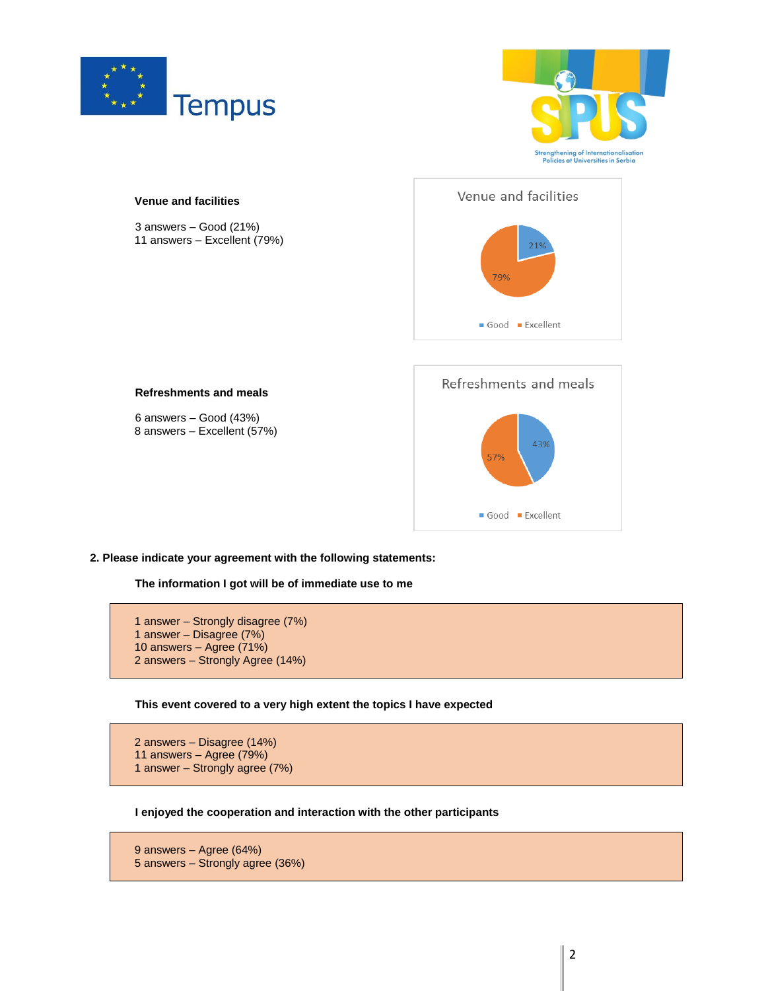





**2. Please indicate your agreement with the following statements:**

**The information I got will be of immediate use to me**



**This event covered to a very high extent the topics I have expected**

```
2 answers – Disagree (14%)
11 answers – Agree (79%)
1 answer – Strongly agree (7%)
```
**I enjoyed the cooperation and interaction with the other participants**

```
9 answers – Agree (64%)
5 answers – Strongly agree (36%)
```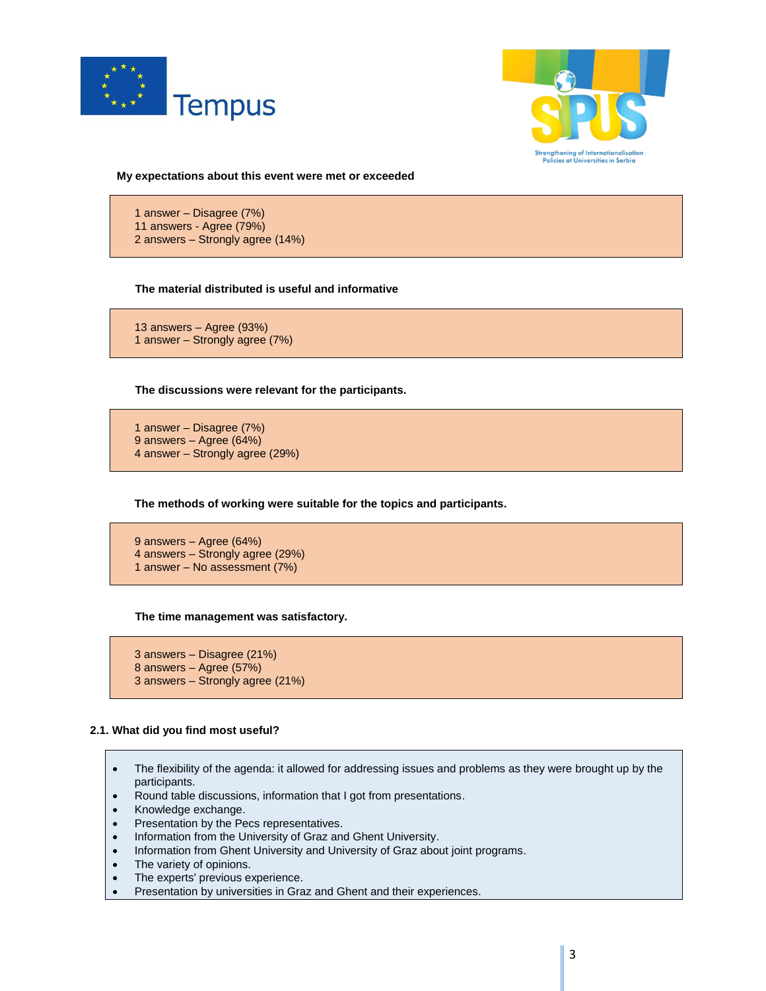



**My expectations about this event were met or exceeded**

1 answer – Disagree (7%) 11 answers - Agree (79%) 2 answers – Strongly agree (14%)

### **The material distributed is useful and informative**

13 answers – Agree (93%) 1 answer – Strongly agree (7%)

**The discussions were relevant for the participants.**

1 answer – Disagree (7%) 9 answers – Agree (64%) 4 answer – Strongly agree (29%)

**The methods of working were suitable for the topics and participants.**

9 answers – Agree (64%) 4 answers – Strongly agree (29%) 1 answer – No assessment (7%)

**The time management was satisfactory.**

3 answers – Disagree (21%) 8 answers – Agree (57%) 3 answers – Strongly agree (21%)

### **2.1. What did you find most useful?**

- The flexibility of the agenda: it allowed for addressing issues and problems as they were brought up by the participants.
- Round table discussions, information that I got from presentations.
- Knowledge exchange.
- Presentation by the Pecs representatives.
- Information from the University of Graz and Ghent University.
- Information from Ghent University and University of Graz about joint programs.
- The variety of opinions.
- The experts' previous experience.
- Presentation by universities in Graz and Ghent and their experiences.